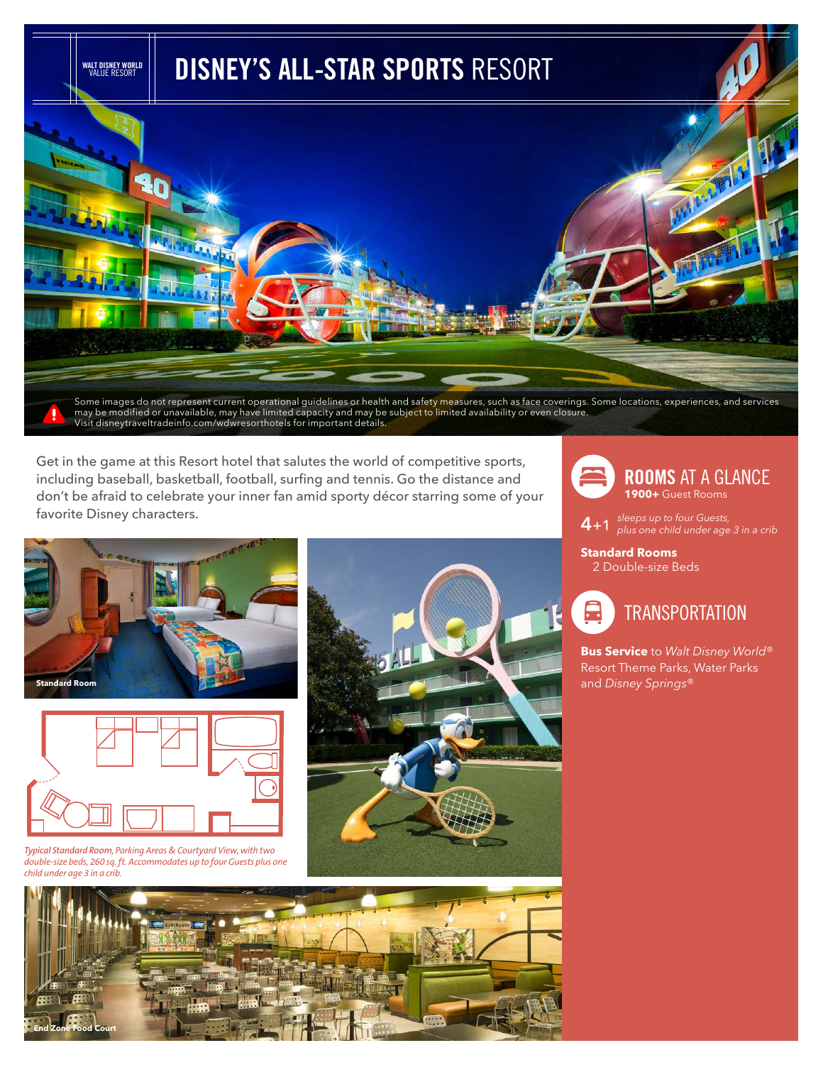

Get in the game at this Resort hotel that salutes the world of competitive sports, including baseball, basketball, football, surfing and tennis. Go the distance and don't be afraid to celebrate your inner fan amid sporty décor starring some of your favorite Disney characters.





*Typical Standard Room, Parking Areas & Courtyard View, with two double-size beds, 260 sq. ft. Accommodates up to four Guests plus one child under age 3 in a crib.*





**4**+1 *sleeps up to four Guests, plus one child under age 3 in a crib* 

**Standard Rooms** 2 Double-size Beds



**Bus Service** to *Walt Disney World*® Resort Theme Parks, Water Parks and *Disney Springs*®